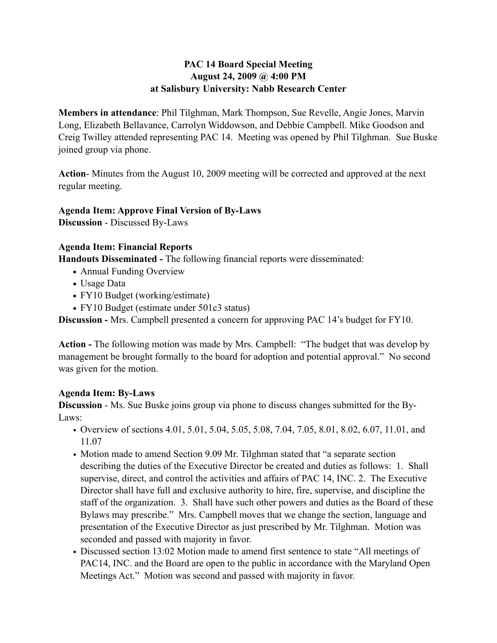## **PAC 14 Board Special Meeting August 24, 2009 @ 4:00 PM at Salisbury University: Nabb Research Center**

**Members in attendance**: Phil Tilghman, Mark Thompson, Sue Revelle, Angie Jones, Marvin Long, Elizabeth Bellavance, Carrolyn Widdowson, and Debbie Campbell. Mike Goodson and Creig Twilley attended representing PAC 14. Meeting was opened by Phil Tilghman. Sue Buske joined group via phone.

**Action**- Minutes from the August 10, 2009 meeting will be corrected and approved at the next regular meeting.

# **Agenda Item: Approve Final Version of By-Laws**

**Discussion** - Discussed By-Laws

#### **Agenda Item: Financial Reports**

**Handouts Disseminated -** The following financial reports were disseminated:

- **•** Annual Funding Overview
- **•** Usage Data
- **•** FY10 Budget (working/estimate)
- **•** FY10 Budget (estimate under 501c3 status)

**Discussion -** Mrs. Campbell presented a concern for approving PAC 14's budget for FY10.

**Action -** The following motion was made by Mrs. Campbell: "The budget that was develop by management be brought formally to the board for adoption and potential approval." No second was given for the motion.

## **Agenda Item: By-Laws**

**Discussion** - Ms. Sue Buske joins group via phone to discuss changes submitted for the By-Laws:

- Overview of sections 4.01, 5.01, 5.04, 5.05, 5.08, 7.04, 7.05, 8.01, 8.02, 6.07, 11.01, and 11.07
- Motion made to amend Section 9.09 Mr. Tilghman stated that "a separate section describing the duties of the Executive Director be created and duties as follows: 1. Shall supervise, direct, and control the activities and affairs of PAC 14, INC. 2. The Executive Director shall have full and exclusive authority to hire, fire, supervise, and discipline the staff of the organization. 3. Shall have such other powers and duties as the Board of these Bylaws may prescribe." Mrs. Campbell moves that we change the section, language and presentation of the Executive Director as just prescribed by Mr. Tilghman. Motion was seconded and passed with majority in favor.
- Discussed section 13:02 Motion made to amend first sentence to state "All meetings of PAC14, INC. and the Board are open to the public in accordance with the Maryland Open Meetings Act." Motion was second and passed with majority in favor.